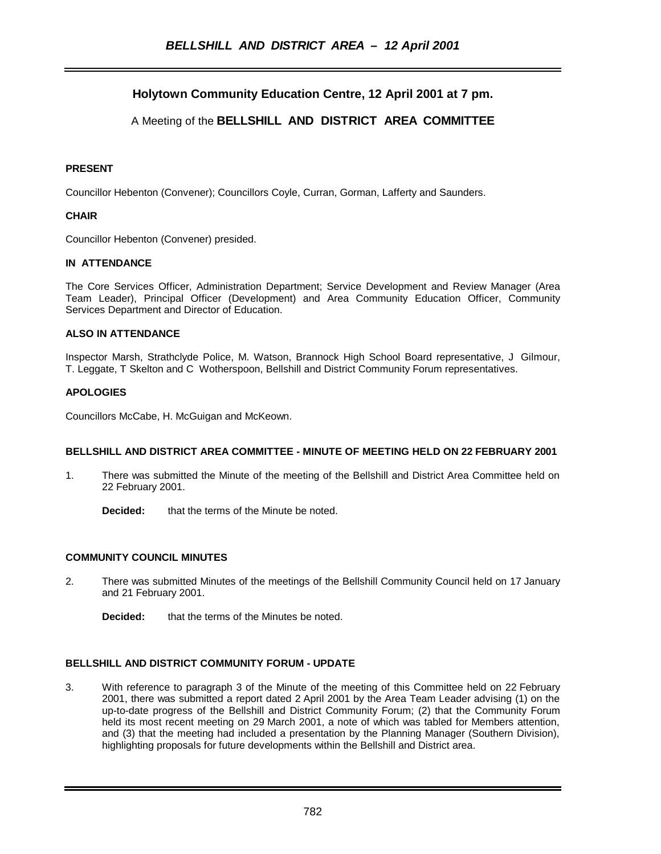# **Holytown Community Education Centre, 12 April 2001 at 7 pm.**

# A Meeting of the **BELLSHILL AND DISTRICT AREA COMMITTEE**

### **PRESENT**

Councillor Hebenton (Convener); Councillors Coyle, Curran, Gorman, Lafferty and Saunders.

### **CHAIR**

Councillor Hebenton (Convener) presided.

### **IN ATTENDANCE**

The Core Services Officer, Administration Department; Service Development and Review Manager (Area Team Leader), Principal Officer (Development) and Area Community Education Officer, Community Services Department and Director of Education.

### **ALSO IN ATTENDANCE**

Inspector Marsh, Strathclyde Police, M. Watson, Brannock High School Board representative, J Gilmour, T. Leggate, T Skelton and C Wotherspoon, Bellshill and District Community Forum representatives.

#### **APOLOGIES**

Councillors McCabe, H. McGuigan and McKeown.

# **BELLSHILL AND DISTRICT AREA COMMITTEE - MINUTE OF MEETING HELD ON 22 FEBRUARY 2001**

- 1. There was submitted the Minute of the meeting of the Bellshill and District Area Committee held on 22 February 2001.
	- **Decided:** that the terms of the Minute be noted.

### **COMMUNITY COUNCIL MINUTES**

- 2. There was submitted Minutes of the meetings of the Bellshill Community Council held on 17 January and 21 February 2001.
	- **Decided:** that the terms of the Minutes be noted.

### **BELLSHILL AND DISTRICT COMMUNITY FORUM - UPDATE**

3. With reference to paragraph 3 of the Minute of the meeting of this Committee held on 22 February 2001, there was submitted a report dated 2 April 2001 by the Area Team Leader advising (1) on the up-to-date progress of the Bellshill and District Community Forum; (2) that the Community Forum held its most recent meeting on 29 March 2001, a note of which was tabled for Members attention, and (3) that the meeting had included a presentation by the Planning Manager (Southern Division), highlighting proposals for future developments within the Bellshill and District area.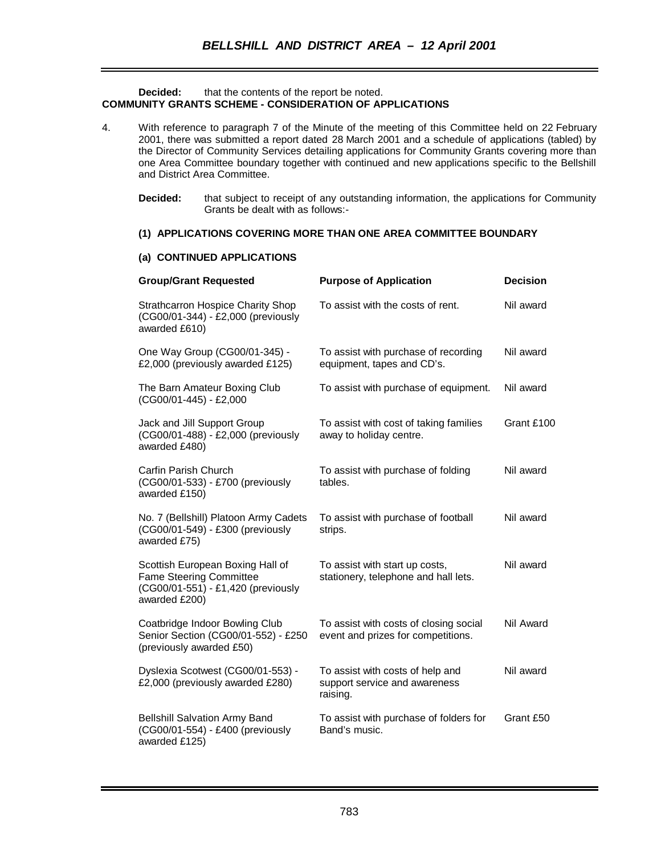### **Decided:** that the contents of the report be noted. **COMMUNITY GRANTS SCHEME - CONSIDERATION OF APPLICATIONS**

- 4. With reference to paragraph 7 of the Minute of the meeting of this Committee held on 22 February 2001, there was submitted a report dated 28 March 2001 and a schedule of applications (tabled) by the Director of Community Services detailing applications for Community Grants covering more than one Area Committee boundary together with continued and new applications specific to the Bellshill and District Area Committee.
	- **Decided:** that subject to receipt of any outstanding information, the applications for Community Grants be dealt with as follows:-

### **(1) APPLICATIONS COVERING MORE THAN ONE AREA COMMITTEE BOUNDARY**

#### **(a) CONTINUED APPLICATIONS**

| <b>Group/Grant Requested</b>                                                                                              | <b>Purpose of Application</b>                                                 | <b>Decision</b> |
|---------------------------------------------------------------------------------------------------------------------------|-------------------------------------------------------------------------------|-----------------|
| <b>Strathcarron Hospice Charity Shop</b><br>(CG00/01-344) - £2,000 (previously<br>awarded £610)                           | To assist with the costs of rent.                                             | Nil award       |
| One Way Group (CG00/01-345) -<br>£2,000 (previously awarded £125)                                                         | To assist with purchase of recording<br>equipment, tapes and CD's.            | Nil award       |
| The Barn Amateur Boxing Club<br>(CG00/01-445) - £2,000                                                                    | To assist with purchase of equipment.                                         | Nil award       |
| Jack and Jill Support Group<br>(CG00/01-488) - £2,000 (previously<br>awarded £480)                                        | To assist with cost of taking families<br>away to holiday centre.             | Grant £100      |
| Carfin Parish Church<br>(CG00/01-533) - £700 (previously<br>awarded £150)                                                 | To assist with purchase of folding<br>tables.                                 | Nil award       |
| No. 7 (Bellshill) Platoon Army Cadets<br>(CG00/01-549) - £300 (previously<br>awarded £75)                                 | To assist with purchase of football<br>strips.                                | Nil award       |
| Scottish European Boxing Hall of<br><b>Fame Steering Committee</b><br>(CG00/01-551) - £1,420 (previously<br>awarded £200) | To assist with start up costs,<br>stationery, telephone and hall lets.        | Nil award       |
| Coatbridge Indoor Bowling Club<br>Senior Section (CG00/01-552) - £250<br>(previously awarded £50)                         | To assist with costs of closing social<br>event and prizes for competitions.  | Nil Award       |
| Dyslexia Scotwest (CG00/01-553) -<br>£2,000 (previously awarded £280)                                                     | To assist with costs of help and<br>support service and awareness<br>raising. | Nil award       |
| <b>Bellshill Salvation Army Band</b><br>(CG00/01-554) - £400 (previously<br>awarded £125)                                 | To assist with purchase of folders for<br>Band's music.                       | Grant £50       |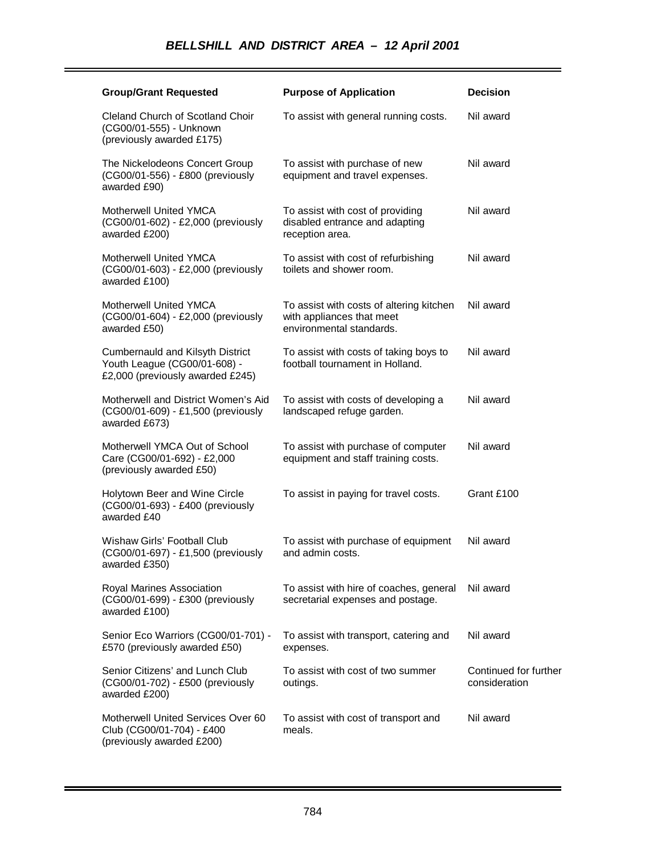| <b>Group/Grant Requested</b>                                                                         | <b>Purpose of Application</b>                                                                     | <b>Decision</b>                        |
|------------------------------------------------------------------------------------------------------|---------------------------------------------------------------------------------------------------|----------------------------------------|
| Cleland Church of Scotland Choir<br>(CG00/01-555) - Unknown<br>(previously awarded £175)             | To assist with general running costs.                                                             | Nil award                              |
| The Nickelodeons Concert Group<br>(CG00/01-556) - £800 (previously<br>awarded £90)                   | To assist with purchase of new<br>equipment and travel expenses.                                  | Nil award                              |
| <b>Motherwell United YMCA</b><br>(CG00/01-602) - £2,000 (previously<br>awarded £200)                 | To assist with cost of providing<br>disabled entrance and adapting<br>reception area.             | Nil award                              |
| <b>Motherwell United YMCA</b><br>(CG00/01-603) - £2,000 (previously<br>awarded £100)                 | To assist with cost of refurbishing<br>toilets and shower room.                                   | Nil award                              |
| Motherwell United YMCA<br>(CG00/01-604) - £2,000 (previously<br>awarded £50)                         | To assist with costs of altering kitchen<br>with appliances that meet<br>environmental standards. | Nil award                              |
| Cumbernauld and Kilsyth District<br>Youth League (CG00/01-608) -<br>£2,000 (previously awarded £245) | To assist with costs of taking boys to<br>football tournament in Holland.                         | Nil award                              |
| Motherwell and District Women's Aid<br>(CG00/01-609) - £1,500 (previously<br>awarded £673)           | To assist with costs of developing a<br>landscaped refuge garden.                                 | Nil award                              |
| Motherwell YMCA Out of School<br>Care (CG00/01-692) - £2,000<br>(previously awarded £50)             | To assist with purchase of computer<br>equipment and staff training costs.                        | Nil award                              |
| Holytown Beer and Wine Circle<br>(CG00/01-693) - £400 (previously<br>awarded £40                     | To assist in paying for travel costs.                                                             | Grant £100                             |
| Wishaw Girls' Football Club<br>(CG00/01-697) - £1,500 (previously<br>awarded £350)                   | To assist with purchase of equipment<br>and admin costs.                                          | Nil award                              |
| Royal Marines Association<br>(CG00/01-699) - £300 (previously<br>awarded £100)                       | To assist with hire of coaches, general<br>secretarial expenses and postage.                      | Nil award                              |
| Senior Eco Warriors (CG00/01-701) -<br>£570 (previously awarded £50)                                 | To assist with transport, catering and<br>expenses.                                               | Nil award                              |
| Senior Citizens' and Lunch Club<br>(CG00/01-702) - £500 (previously<br>awarded £200)                 | To assist with cost of two summer<br>outings.                                                     | Continued for further<br>consideration |
| Motherwell United Services Over 60<br>Club (CG00/01-704) - £400<br>(previously awarded £200)         | To assist with cost of transport and<br>meals.                                                    | Nil award                              |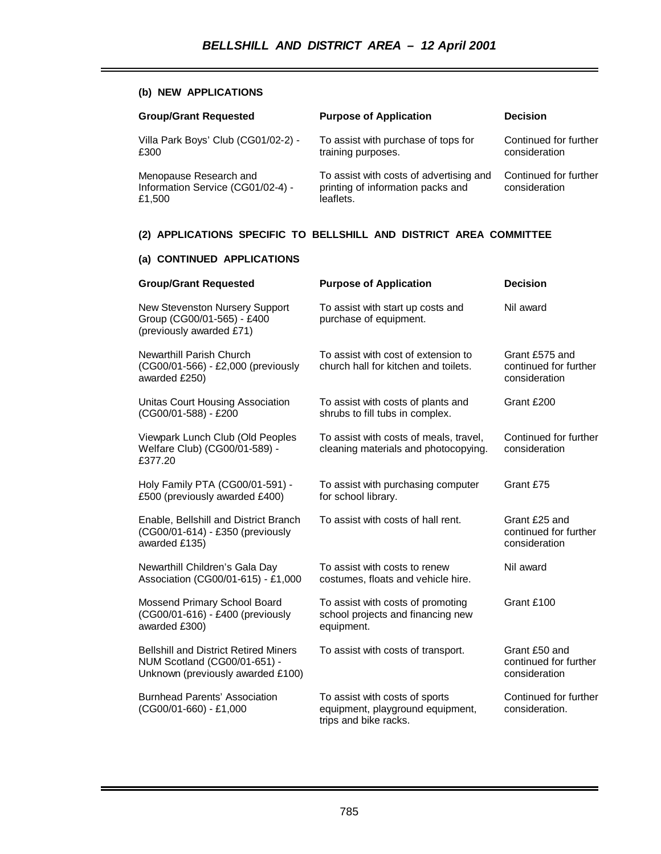## **(b) NEW APPLICATIONS**

| <b>Group/Grant Requested</b>                                          | <b>Purpose of Application</b>                                                             | <b>Decision</b>                        |
|-----------------------------------------------------------------------|-------------------------------------------------------------------------------------------|----------------------------------------|
| Villa Park Boys' Club (CG01/02-2) -<br>£300                           | To assist with purchase of tops for<br>training purposes.                                 | Continued for further<br>consideration |
| Menopause Research and<br>Information Service (CG01/02-4) -<br>£1,500 | To assist with costs of advertising and<br>printing of information packs and<br>leaflets. | Continued for further<br>consideration |

## **(2) APPLICATIONS SPECIFIC TO BELLSHILL AND DISTRICT AREA COMMITTEE**

## **(a) CONTINUED APPLICATIONS**

| <b>Group/Grant Requested</b>                                                                                      | <b>Purpose of Application</b>                                                               | <b>Decision</b>                                          |
|-------------------------------------------------------------------------------------------------------------------|---------------------------------------------------------------------------------------------|----------------------------------------------------------|
| New Stevenston Nursery Support<br>Group (CG00/01-565) - £400<br>(previously awarded £71)                          | To assist with start up costs and<br>purchase of equipment.                                 | Nil award                                                |
| Newarthill Parish Church<br>(CG00/01-566) - £2,000 (previously<br>awarded £250)                                   | To assist with cost of extension to<br>church hall for kitchen and toilets.                 | Grant £575 and<br>continued for further<br>consideration |
| Unitas Court Housing Association<br>(CG00/01-588) - £200                                                          | To assist with costs of plants and<br>shrubs to fill tubs in complex.                       | Grant £200                                               |
| Viewpark Lunch Club (Old Peoples<br>Welfare Club) (CG00/01-589) -<br>£377.20                                      | To assist with costs of meals, travel,<br>cleaning materials and photocopying.              | Continued for further<br>consideration                   |
| Holy Family PTA (CG00/01-591) -<br>£500 (previously awarded £400)                                                 | To assist with purchasing computer<br>for school library.                                   | Grant £75                                                |
| Enable, Bellshill and District Branch<br>(CG00/01-614) - £350 (previously<br>awarded £135)                        | To assist with costs of hall rent.                                                          | Grant £25 and<br>continued for further<br>consideration  |
| Newarthill Children's Gala Day<br>Association (CG00/01-615) - £1,000                                              | To assist with costs to renew<br>costumes, floats and vehicle hire.                         | Nil award                                                |
| Mossend Primary School Board<br>(CG00/01-616) - £400 (previously<br>awarded £300)                                 | To assist with costs of promoting<br>school projects and financing new<br>equipment.        | Grant £100                                               |
| <b>Bellshill and District Retired Miners</b><br>NUM Scotland (CG00/01-651) -<br>Unknown (previously awarded £100) | To assist with costs of transport.                                                          | Grant £50 and<br>continued for further<br>consideration  |
| <b>Burnhead Parents' Association</b><br>(CG00/01-660) - £1,000                                                    | To assist with costs of sports<br>equipment, playground equipment,<br>trips and bike racks. | Continued for further<br>consideration.                  |